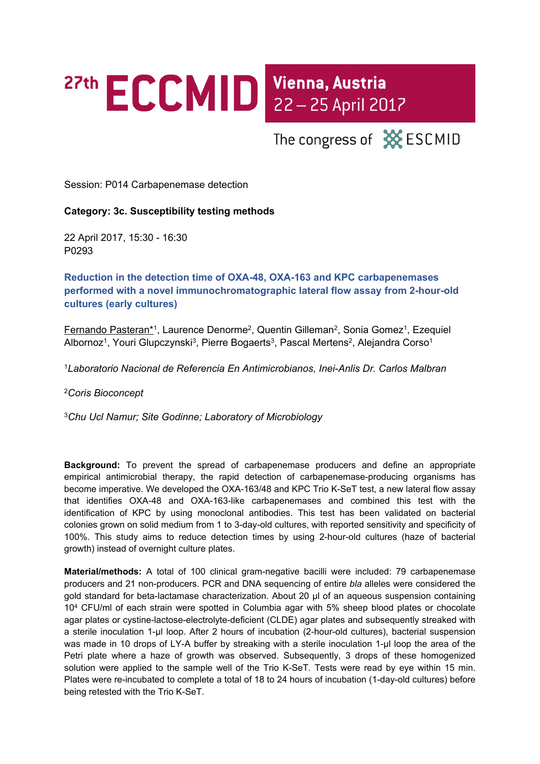## 27th ECCMID Vienna, Austria

The congress of **XX** ESCMID

Session: P014 Carbapenemase detection

## **Category: 3c. Susceptibility testing methods**

22 April 2017, 15:30 - 16:30 P0293

**Reduction in the detection time of OXA-48, OXA-163 and KPC carbapenemases performed with a novel immunochromatographic lateral flow assay from 2-hour-old cultures (early cultures)**

Fernando Pasteran\*<sup>1</sup>, Laurence Denorme<sup>2</sup>, Quentin Gilleman<sup>2</sup>, Sonia Gomez<sup>1</sup>, Ezequiel Albornoz<sup>1</sup>, Youri Glupczynski<sup>3</sup>, Pierre Bogaerts<sup>3</sup>, Pascal Mertens<sup>2</sup>, Alejandra Corso<sup>1</sup>

<sup>1</sup>*Laboratorio Nacional de Referencia En Antimicrobianos, Inei-Anlis Dr. Carlos Malbran*

<sup>2</sup>*Coris Bioconcept*

<sup>3</sup>*Chu Ucl Namur; Site Godinne; Laboratory of Microbiology*

**Background:** To prevent the spread of carbapenemase producers and define an appropriate empirical antimicrobial therapy, the rapid detection of carbapenemase-producing organisms has become imperative. We developed the OXA-163/48 and KPC Trio K-SeT test, a new lateral flow assay that identifies OXA-48 and OXA-163-like carbapenemases and combined this test with the identification of KPC by using monoclonal antibodies. This test has been validated on bacterial colonies grown on solid medium from 1 to 3-day-old cultures, with reported sensitivity and specificity of 100%. This study aims to reduce detection times by using 2-hour-old cultures (haze of bacterial growth) instead of overnight culture plates.

**Material/methods:** A total of 100 clinical gram-negative bacilli were included: 79 carbapenemase producers and 21 non-producers. PCR and DNA sequencing of entire *bla* alleles were considered the gold standard for beta-lactamase characterization. About 20 µl of an aqueous suspension containing 10<sup>4</sup> CFU/ml of each strain were spotted in Columbia agar with 5% sheep blood plates or chocolate agar plates or cystine-lactose-electrolyte-deficient (CLDE) agar plates and subsequently streaked with a sterile inoculation 1-µl loop. After 2 hours of incubation (2-hour-old cultures), bacterial suspension was made in 10 drops of LY-A buffer by streaking with a sterile inoculation 1-µl loop the area of the Petri plate where a haze of growth was observed. Subsequently, 3 drops of these homogenized solution were applied to the sample well of the Trio K-SeT. Tests were read by eye within 15 min. Plates were re-incubated to complete a total of 18 to 24 hours of incubation (1-day-old cultures) before being retested with the Trio K-SeT.